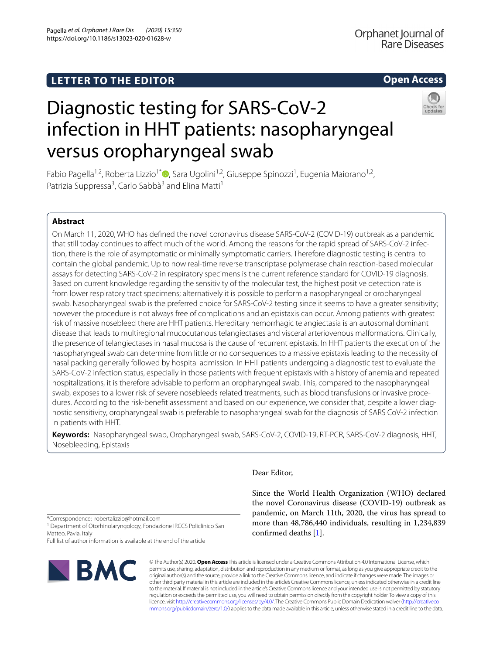# **LETTER TO THE EDITOR**

# **Open Access**



# Diagnostic testing for SARS-CoV-2 infection in HHT patients: nasopharyngeal versus oropharyngeal swab

Fabio Pagella<sup>1[,](http://orcid.org/0000-0002-6778-9187)2</sup>, Roberta Lizzio<sup>1\*</sup><sup>®</sup>, Sara Ugolini<sup>1,2</sup>, Giuseppe Spinozzi<sup>1</sup>, Eugenia Maiorano<sup>1,2</sup>, Patrizia Suppressa<sup>3</sup>, Carlo Sabbà<sup>3</sup> and Elina Matti<sup>1</sup>

# **Abstract**

On March 11, 2020, WHO has defned the novel coronavirus disease SARS-CoV-2 (COVID-19) outbreak as a pandemic that still today continues to afect much of the world. Among the reasons for the rapid spread of SARS-CoV-2 infection, there is the role of asymptomatic or minimally symptomatic carriers. Therefore diagnostic testing is central to contain the global pandemic. Up to now real-time reverse transcriptase polymerase chain reaction-based molecular assays for detecting SARS-CoV-2 in respiratory specimens is the current reference standard for COVID-19 diagnosis. Based on current knowledge regarding the sensitivity of the molecular test, the highest positive detection rate is from lower respiratory tract specimens; alternatively it is possible to perform a nasopharyngeal or oropharyngeal swab. Nasopharyngeal swab is the preferred choice for SARS-CoV-2 testing since it seems to have a greater sensitivity; however the procedure is not always free of complications and an epistaxis can occur. Among patients with greatest risk of massive nosebleed there are HHT patients. Hereditary hemorrhagic telangiectasia is an autosomal dominant disease that leads to multiregional mucocutanous telangiectases and visceral arteriovenous malformations. Clinically, the presence of telangiectases in nasal mucosa is the cause of recurrent epistaxis. In HHT patients the execution of the nasopharyngeal swab can determine from little or no consequences to a massive epistaxis leading to the necessity of nasal packing generally followed by hospital admission. In HHT patients undergoing a diagnostic test to evaluate the SARS-CoV-2 infection status, especially in those patients with frequent epistaxis with a history of anemia and repeated hospitalizations, it is therefore advisable to perform an oropharyngeal swab. This, compared to the nasopharyngeal swab, exposes to a lower risk of severe nosebleeds related treatments, such as blood transfusions or invasive procedures. According to the risk-beneft assessment and based on our experience, we consider that, despite a lower diagnostic sensitivity, oropharyngeal swab is preferable to nasopharyngeal swab for the diagnosis of SARS CoV-2 infection in patients with HHT.

**Keywords:** Nasopharyngeal swab, Oropharyngeal swab, SARS-CoV-2, COVID-19, RT-PCR, SARS-CoV-2 diagnosis, HHT, Nosebleeding, Epistaxis

Dear Editor,

Since the World Health Organization (WHO) declared the novel Coronavirus disease (COVID-19) outbreak as pandemic, on March 11th, 2020, the virus has spread to more than 48,786,440 individuals, resulting in 1,234,839 confrmed deaths [\[1](#page-2-0)].

\*Correspondence: robertalizzio@hotmail.com

<sup>1</sup> Department of Otorhinolaryngology, Fondazione IRCCS Policlinico San Matteo, Pavia, Italy

Full list of author information is available at the end of the article



© The Author(s) 2020. **Open Access** This article is licensed under a Creative Commons Attribution 4.0 International License, which permits use, sharing, adaptation, distribution and reproduction in any medium or format, as long as you give appropriate credit to the original author(s) and the source, provide a link to the Creative Commons licence, and indicate if changes were made. The images or other third party material in this article are included in the article's Creative Commons licence, unless indicated otherwise in a credit line to the material. If material is not included in the article's Creative Commons licence and your intended use is not permitted by statutory regulation or exceeds the permitted use, you will need to obtain permission directly from the copyright holder. To view a copy of this licence, visit [http://creativecommons.org/licenses/by/4.0/.](http://creativecommons.org/licenses/by/4.0/) The Creative Commons Public Domain Dedication waiver ([http://creativeco](http://creativecommons.org/publicdomain/zero/1.0/) [mmons.org/publicdomain/zero/1.0/](http://creativecommons.org/publicdomain/zero/1.0/)) applies to the data made available in this article, unless otherwise stated in a credit line to the data.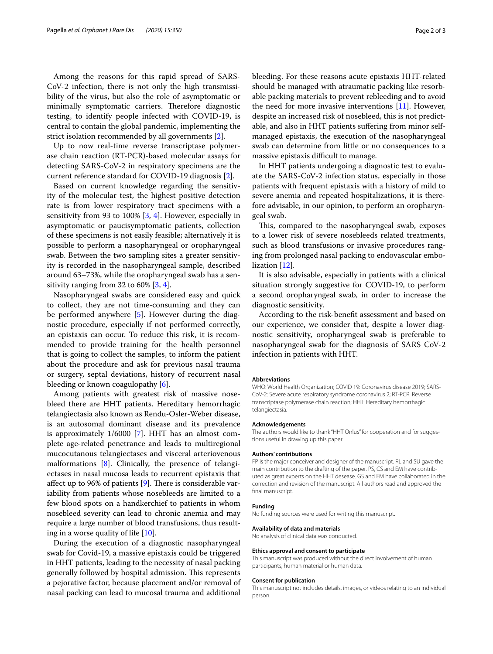Among the reasons for this rapid spread of SARS-CoV-2 infection, there is not only the high transmissibility of the virus, but also the role of asymptomatic or minimally symptomatic carriers. Therefore diagnostic testing, to identify people infected with COVID-19, is central to contain the global pandemic, implementing the strict isolation recommended by all governments [\[2\]](#page-2-1).

Up to now real-time reverse transcriptase polymerase chain reaction (RT-PCR)-based molecular assays for detecting SARS-CoV-2 in respiratory specimens are the current reference standard for COVID-19 diagnosis [\[2](#page-2-1)].

Based on current knowledge regarding the sensitivity of the molecular test, the highest positive detection rate is from lower respiratory tract specimens with a sensitivity from 93 to 100% [\[3](#page-2-2), [4](#page-2-3)]. However, especially in asymptomatic or paucisymptomatic patients, collection of these specimens is not easily feasible; alternatively it is possible to perform a nasopharyngeal or oropharyngeal swab. Between the two sampling sites a greater sensitivity is recorded in the nasopharyngeal sample, described around 63–73%, while the oropharyngeal swab has a sensitivity ranging from 32 to 60%  $[3, 4]$  $[3, 4]$  $[3, 4]$ .

Nasopharyngeal swabs are considered easy and quick to collect, they are not time-consuming and they can be performed anywhere [\[5](#page-2-4)]. However during the diagnostic procedure, especially if not performed correctly, an epistaxis can occur. To reduce this risk, it is recommended to provide training for the health personnel that is going to collect the samples, to inform the patient about the procedure and ask for previous nasal trauma or surgery, septal deviations, history of recurrent nasal bleeding or known coagulopathy [[6](#page-2-5)].

Among patients with greatest risk of massive nosebleed there are HHT patients. Hereditary hemorrhagic telangiectasia also known as Rendu-Osler-Weber disease, is an autosomal dominant disease and its prevalence is approximately 1/6000 [\[7](#page-2-6)]. HHT has an almost complete age-related penetrance and leads to multiregional mucocutanous telangiectases and visceral arteriovenous malformations [\[8](#page-2-7)]. Clinically, the presence of telangiectases in nasal mucosa leads to recurrent epistaxis that affect up to 96% of patients [[9\]](#page-2-8). There is considerable variability from patients whose nosebleeds are limited to a few blood spots on a handkerchief to patients in whom nosebleed severity can lead to chronic anemia and may require a large number of blood transfusions, thus resulting in a worse quality of life [\[10\]](#page-2-9).

During the execution of a diagnostic nasopharyngeal swab for Covid-19, a massive epistaxis could be triggered in HHT patients, leading to the necessity of nasal packing generally followed by hospital admission. This represents a pejorative factor, because placement and/or removal of nasal packing can lead to mucosal trauma and additional bleeding. For these reasons acute epistaxis HHT-related should be managed with atraumatic packing like resorbable packing materials to prevent rebleeding and to avoid the need for more invasive interventions [\[11](#page-2-10)]. However, despite an increased risk of nosebleed, this is not predictable, and also in HHT patients sufering from minor selfmanaged epistaxis, the execution of the nasopharyngeal swab can determine from little or no consequences to a massive epistaxis difficult to manage.

In HHT patients undergoing a diagnostic test to evaluate the SARS-CoV-2 infection status, especially in those patients with frequent epistaxis with a history of mild to severe anemia and repeated hospitalizations, it is therefore advisable, in our opinion, to perform an oropharyngeal swab.

This, compared to the nasopharyngeal swab, exposes to a lower risk of severe nosebleeds related treatments, such as blood transfusions or invasive procedures ranging from prolonged nasal packing to endovascular embolization [[12\]](#page-2-11).

It is also advisable, especially in patients with a clinical situation strongly suggestive for COVID-19, to perform a second oropharyngeal swab, in order to increase the diagnostic sensitivity.

According to the risk-beneft assessment and based on our experience, we consider that, despite a lower diagnostic sensitivity, oropharyngeal swab is preferable to nasopharyngeal swab for the diagnosis of SARS CoV-2 infection in patients with HHT.

#### **Abbreviations**

WHO: World Health Organization; COVID 19: Coronavirus disease 2019; SARS-CoV-2: Severe acute respiratory syndrome coronavirus 2; RT-PCR: Reverse transcriptase polymerase chain reaction; HHT: Hereditary hemorrhagic telangiectasia.

#### **Acknowledgements**

The authors would like to thank "HHT Onlus" for cooperation and for suggestions useful in drawing up this paper.

#### **Authors' contributions**

FP is the major conceiver and designer of the manuscript. RL and SU gave the main contribution to the drafting of the paper. PS, CS and EM have contributed as great experts on the HHT desease. GS and EM have collaborated in the correction and revision of the manuscript. All authors read and approved the final manuscript.

#### **Funding**

No funding sources were used for writing this manuscript.

#### **Availability of data and materials**

No analysis of clinical data was conducted.

#### **Ethics approval and consent to participate**

This manuscript was produced without the direct involvement of human participants, human material or human data.

## **Consent for publication**

This manuscript not includes details, images, or videos relating to an individual person.